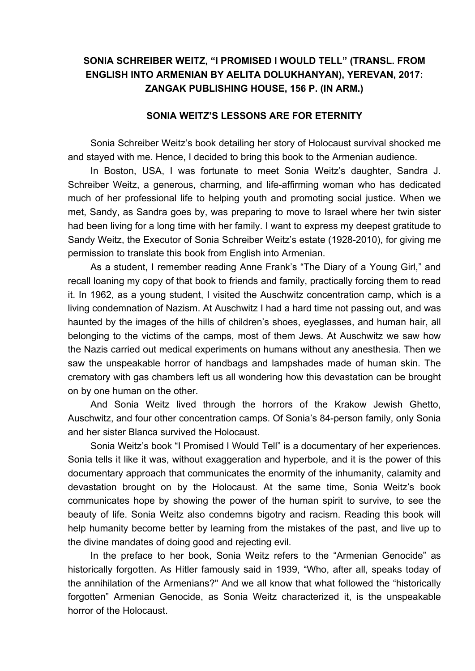## **SONIA SCHREIBER WEITZ, "I PROMISED I WOULD TELL" (TRANSL. FROM ENGLISH INTO ARMENIAN BY AELITA DOLUKHANYAN), YEREVAN, 2017: ZANGAK PUBLISHING HOUSE, 156 P. (IN ARM.)**

## **SONIA WEITZ'S LESSONS ARE FOR ETERNITY**

Sonia Schreiber Weitz's book detailing her story of Holocaust survival shocked me and stayed with me. Hence, I decided to bring this book to the Armenian audience.

In Boston, USA, I was fortunate to meet Sonia Weitz's daughter, Sandra J. Schreiber Weitz, a generous, charming, and life-affirming woman who has dedicated much of her professional life to helping youth and promoting social justice. When we met, Sandy, as Sandra goes by, was preparing to move to Israel where her twin sister had been living for a long time with her family. I want to express my deepest gratitude to Sandy Weitz, the Executor of Sonia Schreiber Weitz's estate (1928-2010), for giving me permission to translate this book from English into Armenian.

As a student, I remember reading Anne Frank's "The Diary of a Young Girl," and recall loaning my copy of that book to friends and family, practically forcing them to read it. In 1962, as a young student, I visited the Auschwitz concentration camp, which is a living condemnation of Nazism. At Auschwitz I had a hard time not passing out, and was haunted by the images of the hills of children's shoes, eyeglasses, and human hair, all belonging to the victims of the camps, most of them Jews. At Auschwitz we saw how the Nazis carried out medical experiments on humans without any anesthesia. Then we saw the unspeakable horror of handbags and lampshades made of human skin. The crematory with gas chambers left us all wondering how this devastation can be brought on by one human on the other.

And Sonia Weitz lived through the horrors of the Krakow Jewish Ghetto, Auschwitz, and four other concentration camps. Of Sonia's 84-person family, only Sonia and her sister Blanca survived the Holocaust.

Sonia Weitz's book "I Promised I Would Tell" is a documentary of her experiences. Sonia tells it like it was, without exaggeration and hyperbole, and it is the power of this documentary approach that communicates the enormity of the inhumanity, calamity and devastation brought on by the Holocaust. At the same time, Sonia Weitz's book communicates hope by showing the power of the human spirit to survive, to see the beauty of life. Sonia Weitz also condemns bigotry and racism. Reading this book will help humanity become better by learning from the mistakes of the past, and live up to the divine mandates of doing good and rejecting evil.

In the preface to her book, Sonia Weitz refers to the "Armenian Genocide" as historically forgotten. As Hitler famously said in 1939, "Who, after all, speaks today of the annihilation of the Armenians?" And we all know that what followed the "historically forgotten" Armenian Genocide, as Sonia Weitz characterized it, is the unspeakable horror of the Holocaust.